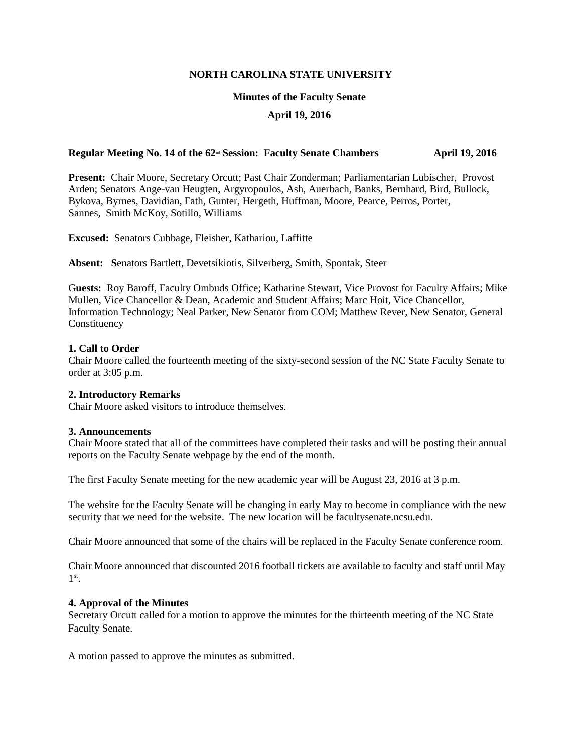### **NORTH CAROLINA STATE UNIVERSITY**

### **Minutes of the Faculty Senate**

# **April 19, 2016**

# **Regular Meeting No. 14 of the 62<sup>nd</sup> Session: Faculty Senate Chambers April 19, 2016**

**Present:** Chair Moore, Secretary Orcutt; Past Chair Zonderman; Parliamentarian Lubischer, Provost Arden; Senators Ange-van Heugten, Argyropoulos, Ash, Auerbach, Banks, Bernhard, Bird, Bullock, Bykova, Byrnes, Davidian, Fath, Gunter, Hergeth, Huffman, Moore, Pearce, Perros, Porter, Sannes, Smith McKoy, Sotillo, Williams

**Excused:** Senators Cubbage, Fleisher, Kathariou, Laffitte

**Absent: S**enators Bartlett, Devetsikiotis, Silverberg, Smith, Spontak, Steer

G**uests:** Roy Baroff, Faculty Ombuds Office; Katharine Stewart, Vice Provost for Faculty Affairs; Mike Mullen, Vice Chancellor & Dean, Academic and Student Affairs; Marc Hoit, Vice Chancellor, Information Technology; Neal Parker, New Senator from COM; Matthew Rever, New Senator, General Constituency

## **1. Call to Order**

Chair Moore called the fourteenth meeting of the sixty-second session of the NC State Faculty Senate to order at 3:05 p.m.

### **2. Introductory Remarks**

Chair Moore asked visitors to introduce themselves.

### **3. Announcements**

Chair Moore stated that all of the committees have completed their tasks and will be posting their annual reports on the Faculty Senate webpage by the end of the month.

The first Faculty Senate meeting for the new academic year will be August 23, 2016 at 3 p.m.

The website for the Faculty Senate will be changing in early May to become in compliance with the new security that we need for the website. The new location will be facultysenate.ncsu.edu.

Chair Moore announced that some of the chairs will be replaced in the Faculty Senate conference room.

Chair Moore announced that discounted 2016 football tickets are available to faculty and staff until May 1 st .

### **4. Approval of the Minutes**

Secretary Orcutt called for a motion to approve the minutes for the thirteenth meeting of the NC State Faculty Senate.

A motion passed to approve the minutes as submitted.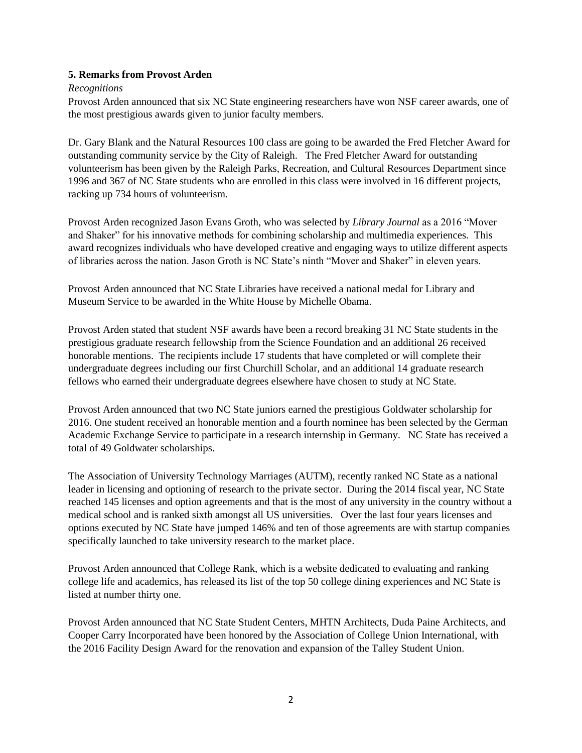# **5. Remarks from Provost Arden**

# *Recognitions*

Provost Arden announced that six NC State engineering researchers have won NSF career awards, one of the most prestigious awards given to junior faculty members.

Dr. Gary Blank and the Natural Resources 100 class are going to be awarded the Fred Fletcher Award for outstanding community service by the City of Raleigh. The Fred Fletcher Award for outstanding volunteerism has been given by the Raleigh Parks, Recreation, and Cultural Resources Department since 1996 and 367 of NC State students who are enrolled in this class were involved in 16 different projects, racking up 734 hours of volunteerism.

Provost Arden recognized Jason Evans Groth, who was selected by *Library Journal* as a 2016 "Mover and Shaker" for his innovative methods for combining scholarship and multimedia experiences. This award recognizes individuals who have developed creative and engaging ways to utilize different aspects of libraries across the nation. Jason Groth is NC State's ninth "Mover and Shaker" in eleven years.

Provost Arden announced that NC State Libraries have received a national medal for Library and Museum Service to be awarded in the White House by Michelle Obama.

Provost Arden stated that student NSF awards have been a record breaking 31 NC State students in the prestigious graduate research fellowship from the Science Foundation and an additional 26 received honorable mentions. The recipients include 17 students that have completed or will complete their undergraduate degrees including our first Churchill Scholar, and an additional 14 graduate research fellows who earned their undergraduate degrees elsewhere have chosen to study at NC State.

Provost Arden announced that two NC State juniors earned the prestigious Goldwater scholarship for 2016. One student received an honorable mention and a fourth nominee has been selected by the German Academic Exchange Service to participate in a research internship in Germany. NC State has received a total of 49 Goldwater scholarships.

The Association of University Technology Marriages (AUTM), recently ranked NC State as a national leader in licensing and optioning of research to the private sector. During the 2014 fiscal year, NC State reached 145 licenses and option agreements and that is the most of any university in the country without a medical school and is ranked sixth amongst all US universities. Over the last four years licenses and options executed by NC State have jumped 146% and ten of those agreements are with startup companies specifically launched to take university research to the market place.

Provost Arden announced that College Rank, which is a website dedicated to evaluating and ranking college life and academics, has released its list of the top 50 college dining experiences and NC State is listed at number thirty one.

Provost Arden announced that NC State Student Centers, MHTN Architects, Duda Paine Architects, and Cooper Carry Incorporated have been honored by the Association of College Union International, with the 2016 Facility Design Award for the renovation and expansion of the Talley Student Union.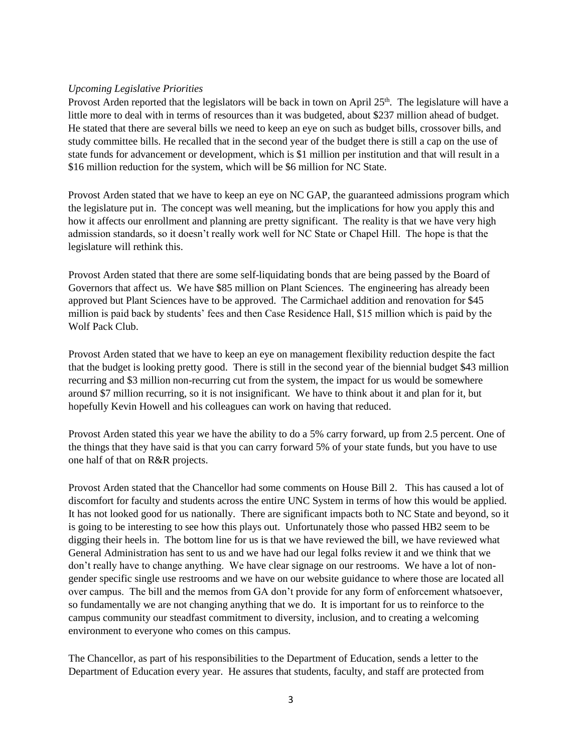# *Upcoming Legislative Priorities*

Provost Arden reported that the legislators will be back in town on April  $25<sup>th</sup>$ . The legislature will have a little more to deal with in terms of resources than it was budgeted, about \$237 million ahead of budget. He stated that there are several bills we need to keep an eye on such as budget bills, crossover bills, and study committee bills. He recalled that in the second year of the budget there is still a cap on the use of state funds for advancement or development, which is \$1 million per institution and that will result in a \$16 million reduction for the system, which will be \$6 million for NC State.

Provost Arden stated that we have to keep an eye on NC GAP, the guaranteed admissions program which the legislature put in. The concept was well meaning, but the implications for how you apply this and how it affects our enrollment and planning are pretty significant. The reality is that we have very high admission standards, so it doesn't really work well for NC State or Chapel Hill. The hope is that the legislature will rethink this.

Provost Arden stated that there are some self-liquidating bonds that are being passed by the Board of Governors that affect us. We have \$85 million on Plant Sciences. The engineering has already been approved but Plant Sciences have to be approved. The Carmichael addition and renovation for \$45 million is paid back by students' fees and then Case Residence Hall, \$15 million which is paid by the Wolf Pack Club.

Provost Arden stated that we have to keep an eye on management flexibility reduction despite the fact that the budget is looking pretty good. There is still in the second year of the biennial budget \$43 million recurring and \$3 million non-recurring cut from the system, the impact for us would be somewhere around \$7 million recurring, so it is not insignificant. We have to think about it and plan for it, but hopefully Kevin Howell and his colleagues can work on having that reduced.

Provost Arden stated this year we have the ability to do a 5% carry forward, up from 2.5 percent. One of the things that they have said is that you can carry forward 5% of your state funds, but you have to use one half of that on R&R projects.

Provost Arden stated that the Chancellor had some comments on House Bill 2. This has caused a lot of discomfort for faculty and students across the entire UNC System in terms of how this would be applied. It has not looked good for us nationally. There are significant impacts both to NC State and beyond, so it is going to be interesting to see how this plays out. Unfortunately those who passed HB2 seem to be digging their heels in. The bottom line for us is that we have reviewed the bill, we have reviewed what General Administration has sent to us and we have had our legal folks review it and we think that we don't really have to change anything. We have clear signage on our restrooms. We have a lot of nongender specific single use restrooms and we have on our website guidance to where those are located all over campus. The bill and the memos from GA don't provide for any form of enforcement whatsoever, so fundamentally we are not changing anything that we do. It is important for us to reinforce to the campus community our steadfast commitment to diversity, inclusion, and to creating a welcoming environment to everyone who comes on this campus.

The Chancellor, as part of his responsibilities to the Department of Education, sends a letter to the Department of Education every year. He assures that students, faculty, and staff are protected from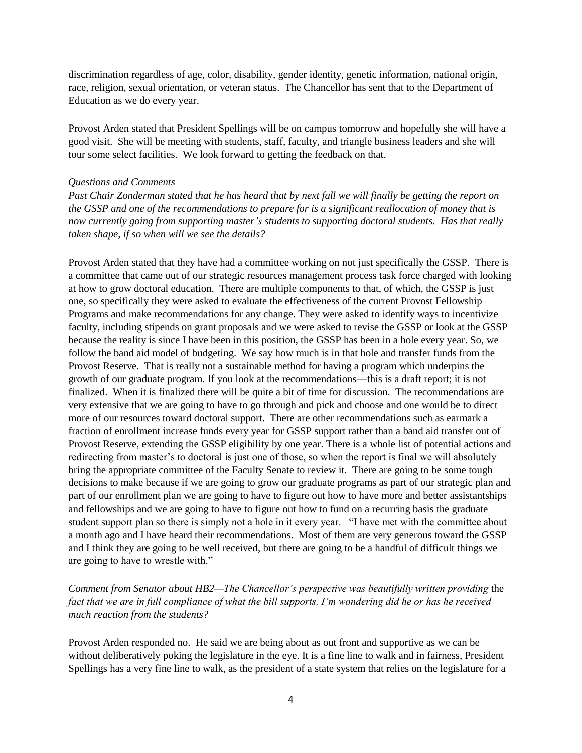discrimination regardless of age, color, disability, gender identity, genetic information, national origin, race, religion, sexual orientation, or veteran status. The Chancellor has sent that to the Department of Education as we do every year.

Provost Arden stated that President Spellings will be on campus tomorrow and hopefully she will have a good visit. She will be meeting with students, staff, faculty, and triangle business leaders and she will tour some select facilities. We look forward to getting the feedback on that.

#### *Questions and Comments*

*Past Chair Zonderman stated that he has heard that by next fall we will finally be getting the report on the GSSP and one of the recommendations to prepare for is a significant reallocation of money that is now currently going from supporting master's students to supporting doctoral students. Has that really taken shape, if so when will we see the details?* 

Provost Arden stated that they have had a committee working on not just specifically the GSSP. There is a committee that came out of our strategic resources management process task force charged with looking at how to grow doctoral education. There are multiple components to that, of which, the GSSP is just one, so specifically they were asked to evaluate the effectiveness of the current Provost Fellowship Programs and make recommendations for any change. They were asked to identify ways to incentivize faculty, including stipends on grant proposals and we were asked to revise the GSSP or look at the GSSP because the reality is since I have been in this position, the GSSP has been in a hole every year. So, we follow the band aid model of budgeting. We say how much is in that hole and transfer funds from the Provost Reserve. That is really not a sustainable method for having a program which underpins the growth of our graduate program. If you look at the recommendations—this is a draft report; it is not finalized. When it is finalized there will be quite a bit of time for discussion. The recommendations are very extensive that we are going to have to go through and pick and choose and one would be to direct more of our resources toward doctoral support. There are other recommendations such as earmark a fraction of enrollment increase funds every year for GSSP support rather than a band aid transfer out of Provost Reserve, extending the GSSP eligibility by one year. There is a whole list of potential actions and redirecting from master's to doctoral is just one of those, so when the report is final we will absolutely bring the appropriate committee of the Faculty Senate to review it. There are going to be some tough decisions to make because if we are going to grow our graduate programs as part of our strategic plan and part of our enrollment plan we are going to have to figure out how to have more and better assistantships and fellowships and we are going to have to figure out how to fund on a recurring basis the graduate student support plan so there is simply not a hole in it every year. "I have met with the committee about a month ago and I have heard their recommendations. Most of them are very generous toward the GSSP and I think they are going to be well received, but there are going to be a handful of difficult things we are going to have to wrestle with."

*Comment from Senator about HB2—The Chancellor's perspective was beautifully written providing the fact that we are in full compliance of what the bill supports. I'm wondering did he or has he received much reaction from the students?*

Provost Arden responded no. He said we are being about as out front and supportive as we can be without deliberatively poking the legislature in the eye. It is a fine line to walk and in fairness, President Spellings has a very fine line to walk, as the president of a state system that relies on the legislature for a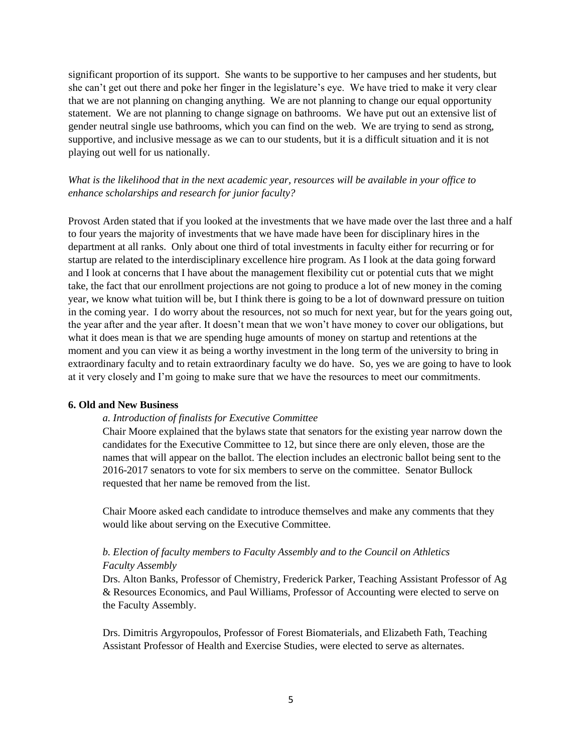significant proportion of its support. She wants to be supportive to her campuses and her students, but she can't get out there and poke her finger in the legislature's eye. We have tried to make it very clear that we are not planning on changing anything. We are not planning to change our equal opportunity statement. We are not planning to change signage on bathrooms. We have put out an extensive list of gender neutral single use bathrooms, which you can find on the web. We are trying to send as strong, supportive, and inclusive message as we can to our students, but it is a difficult situation and it is not playing out well for us nationally.

*What is the likelihood that in the next academic year, resources will be available in your office to enhance scholarships and research for junior faculty?*

Provost Arden stated that if you looked at the investments that we have made over the last three and a half to four years the majority of investments that we have made have been for disciplinary hires in the department at all ranks. Only about one third of total investments in faculty either for recurring or for startup are related to the interdisciplinary excellence hire program. As I look at the data going forward and I look at concerns that I have about the management flexibility cut or potential cuts that we might take, the fact that our enrollment projections are not going to produce a lot of new money in the coming year, we know what tuition will be, but I think there is going to be a lot of downward pressure on tuition in the coming year. I do worry about the resources, not so much for next year, but for the years going out, the year after and the year after. It doesn't mean that we won't have money to cover our obligations, but what it does mean is that we are spending huge amounts of money on startup and retentions at the moment and you can view it as being a worthy investment in the long term of the university to bring in extraordinary faculty and to retain extraordinary faculty we do have. So, yes we are going to have to look at it very closely and I'm going to make sure that we have the resources to meet our commitments.

### **6. Old and New Business**

#### *a. Introduction of finalists for Executive Committee*

Chair Moore explained that the bylaws state that senators for the existing year narrow down the candidates for the Executive Committee to 12, but since there are only eleven, those are the names that will appear on the ballot. The election includes an electronic ballot being sent to the 2016-2017 senators to vote for six members to serve on the committee. Senator Bullock requested that her name be removed from the list.

Chair Moore asked each candidate to introduce themselves and make any comments that they would like about serving on the Executive Committee.

# *b. Election of faculty members to Faculty Assembly and to the Council on Athletics Faculty Assembly*

Drs. Alton Banks, Professor of Chemistry, Frederick Parker, Teaching Assistant Professor of Ag & Resources Economics, and Paul Williams, Professor of Accounting were elected to serve on the Faculty Assembly.

Drs. Dimitris Argyropoulos, Professor of Forest Biomaterials, and Elizabeth Fath, Teaching Assistant Professor of Health and Exercise Studies, were elected to serve as alternates.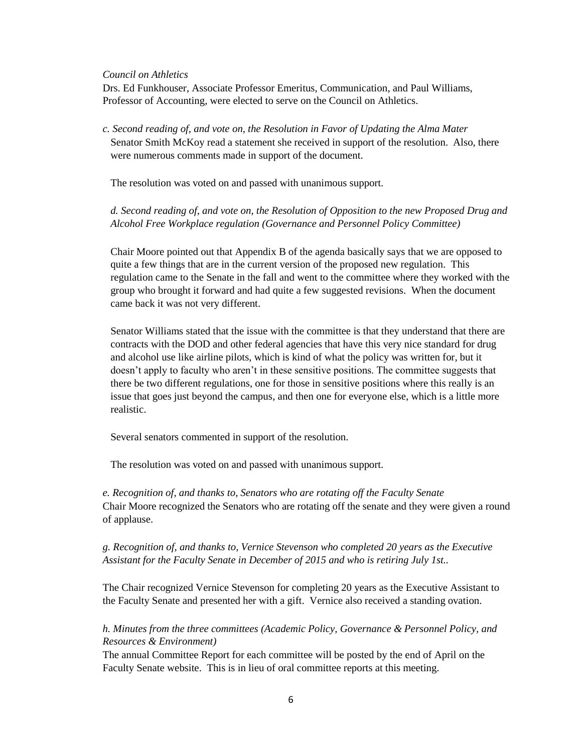### *Council on Athletics*

Drs. Ed Funkhouser, Associate Professor Emeritus, Communication, and Paul Williams, Professor of Accounting, were elected to serve on the Council on Athletics.

*c. Second reading of, and vote on, the Resolution in Favor of Updating the Alma Mater* Senator Smith McKoy read a statement she received in support of the resolution. Also, there were numerous comments made in support of the document.

The resolution was voted on and passed with unanimous support.

*d. Second reading of, and vote on, the Resolution of Opposition to the new Proposed Drug and Alcohol Free Workplace regulation (Governance and Personnel Policy Committee)* 

Chair Moore pointed out that Appendix B of the agenda basically says that we are opposed to quite a few things that are in the current version of the proposed new regulation. This regulation came to the Senate in the fall and went to the committee where they worked with the group who brought it forward and had quite a few suggested revisions. When the document came back it was not very different.

Senator Williams stated that the issue with the committee is that they understand that there are contracts with the DOD and other federal agencies that have this very nice standard for drug and alcohol use like airline pilots, which is kind of what the policy was written for, but it doesn't apply to faculty who aren't in these sensitive positions. The committee suggests that there be two different regulations, one for those in sensitive positions where this really is an issue that goes just beyond the campus, and then one for everyone else, which is a little more realistic.

Several senators commented in support of the resolution.

The resolution was voted on and passed with unanimous support.

*e. Recognition of, and thanks to, Senators who are rotating off the Faculty Senate* Chair Moore recognized the Senators who are rotating off the senate and they were given a round of applause.

*g. Recognition of, and thanks to, Vernice Stevenson who completed 20 years as the Executive Assistant for the Faculty Senate in December of 2015 and who is retiring July 1st..* 

The Chair recognized Vernice Stevenson for completing 20 years as the Executive Assistant to the Faculty Senate and presented her with a gift. Vernice also received a standing ovation.

*h. Minutes from the three committees (Academic Policy, Governance & Personnel Policy, and Resources & Environment)*

The annual Committee Report for each committee will be posted by the end of April on the Faculty Senate website. This is in lieu of oral committee reports at this meeting.